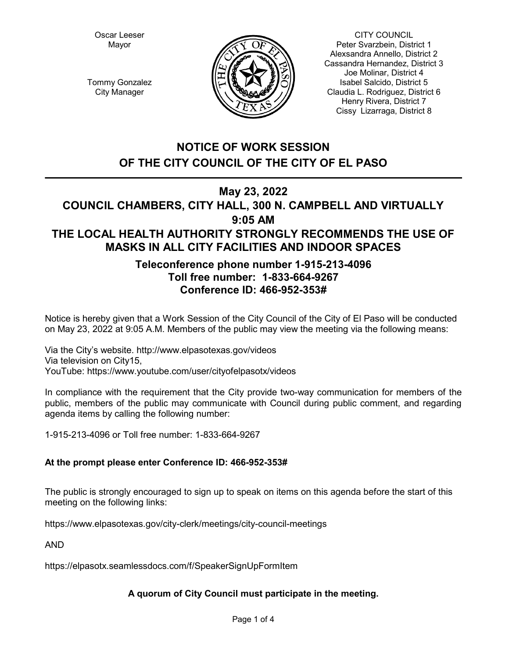Oscar Leeser Mayor



CITY COUNCIL Peter Svarzbein, District 1 Alexsandra Annello, District 2 Cassandra Hernandez, District 3 Joe Molinar, District 4 Isabel Salcido, District 5 Claudia L. Rodriguez, District 6 Henry Rivera, District 7 Cissy Lizarraga, District 8

Tommy Gonzalez City Manager

# **NOTICE OF WORK SESSION OF THE CITY COUNCIL OF THE CITY OF EL PASO**

## **May 23, 2022**

## **COUNCIL CHAMBERS, CITY HALL, 300 N. CAMPBELL AND VIRTUALLY 9:05 AM THE LOCAL HEALTH AUTHORITY STRONGLY RECOMMENDS THE USE OF MASKS IN ALL CITY FACILITIES AND INDOOR SPACES**

## **Teleconference phone number 1-915-213-4096 Toll free number: 1-833-664-9267 Conference ID: 466-952-353#**

Notice is hereby given that a Work Session of the City Council of the City of El Paso will be conducted on May 23, 2022 at 9:05 A.M. Members of the public may view the meeting via the following means:

Via the City's website. http://www.elpasotexas.gov/videos Via television on City15, YouTube: https://www.youtube.com/user/cityofelpasotx/videos

In compliance with the requirement that the City provide two-way communication for members of the public, members of the public may communicate with Council during public comment, and regarding agenda items by calling the following number:

1-915-213-4096 or Toll free number: 1-833-664-9267

### **At the prompt please enter Conference ID: 466-952-353#**

The public is strongly encouraged to sign up to speak on items on this agenda before the start of this meeting on the following links:

https://www.elpasotexas.gov/city-clerk/meetings/city-council-meetings

AND

https://elpasotx.seamlessdocs.com/f/SpeakerSignUpFormItem

## **A quorum of City Council must participate in the meeting.**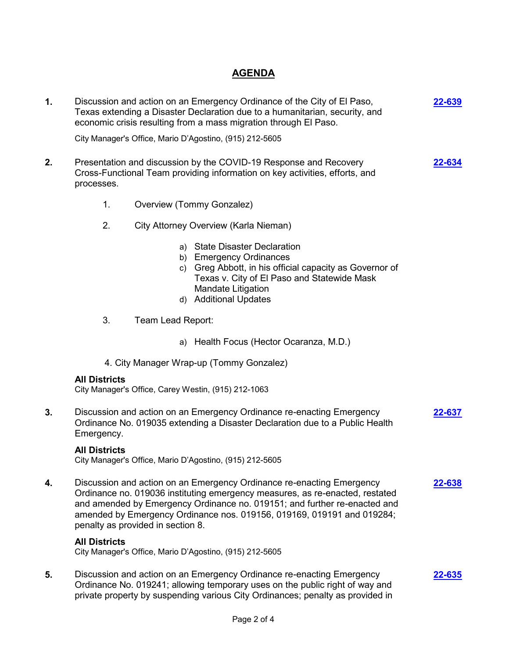## **AGENDA**

| 1. |                                                                                                                                                                                                                                                                                                                                                   | Discussion and action on an Emergency Ordinance of the City of El Paso,<br>Texas extending a Disaster Declaration due to a humanitarian, security, and<br>economic crisis resulting from a mass migration through El Paso.              | 22-639 |  |
|----|---------------------------------------------------------------------------------------------------------------------------------------------------------------------------------------------------------------------------------------------------------------------------------------------------------------------------------------------------|-----------------------------------------------------------------------------------------------------------------------------------------------------------------------------------------------------------------------------------------|--------|--|
|    | City Manager's Office, Mario D'Agostino, (915) 212-5605                                                                                                                                                                                                                                                                                           |                                                                                                                                                                                                                                         |        |  |
| 2. | Presentation and discussion by the COVID-19 Response and Recovery<br>Cross-Functional Team providing information on key activities, efforts, and<br>processes.                                                                                                                                                                                    |                                                                                                                                                                                                                                         |        |  |
|    | 1.                                                                                                                                                                                                                                                                                                                                                | Overview (Tommy Gonzalez)                                                                                                                                                                                                               |        |  |
|    | 2.                                                                                                                                                                                                                                                                                                                                                | City Attorney Overview (Karla Nieman)                                                                                                                                                                                                   |        |  |
|    |                                                                                                                                                                                                                                                                                                                                                   | a) State Disaster Declaration<br>b) Emergency Ordinances<br>c) Greg Abbott, in his official capacity as Governor of<br>Texas v. City of El Paso and Statewide Mask<br>Mandate Litigation<br>d) Additional Updates                       |        |  |
|    | 3.                                                                                                                                                                                                                                                                                                                                                | Team Lead Report:                                                                                                                                                                                                                       |        |  |
|    |                                                                                                                                                                                                                                                                                                                                                   | a) Health Focus (Hector Ocaranza, M.D.)                                                                                                                                                                                                 |        |  |
|    | 4. City Manager Wrap-up (Tommy Gonzalez)                                                                                                                                                                                                                                                                                                          |                                                                                                                                                                                                                                         |        |  |
|    | <b>All Districts</b>                                                                                                                                                                                                                                                                                                                              | City Manager's Office, Carey Westin, (915) 212-1063                                                                                                                                                                                     |        |  |
| 3. | Discussion and action on an Emergency Ordinance re-enacting Emergency<br><u>22-637</u><br>Ordinance No. 019035 extending a Disaster Declaration due to a Public Health<br>Emergency.                                                                                                                                                              |                                                                                                                                                                                                                                         |        |  |
|    | <b>All Districts</b>                                                                                                                                                                                                                                                                                                                              | City Manager's Office, Mario D'Agostino, (915) 212-5605                                                                                                                                                                                 |        |  |
| 4. | Discussion and action on an Emergency Ordinance re-enacting Emergency<br>Ordinance no. 019036 instituting emergency measures, as re-enacted, restated<br>and amended by Emergency Ordinance no. 019151; and further re-enacted and<br>amended by Emergency Ordinance nos. 019156, 019169, 019191 and 019284;<br>penalty as provided in section 8. |                                                                                                                                                                                                                                         | 22-638 |  |
|    | <b>All Districts</b>                                                                                                                                                                                                                                                                                                                              | City Manager's Office, Mario D'Agostino, (915) 212-5605                                                                                                                                                                                 |        |  |
| 5. |                                                                                                                                                                                                                                                                                                                                                   | Discussion and action on an Emergency Ordinance re-enacting Emergency<br>Ordinance No. 019241; allowing temporary uses on the public right of way and<br>private property by suspending various City Ordinances; penalty as provided in | 22-635 |  |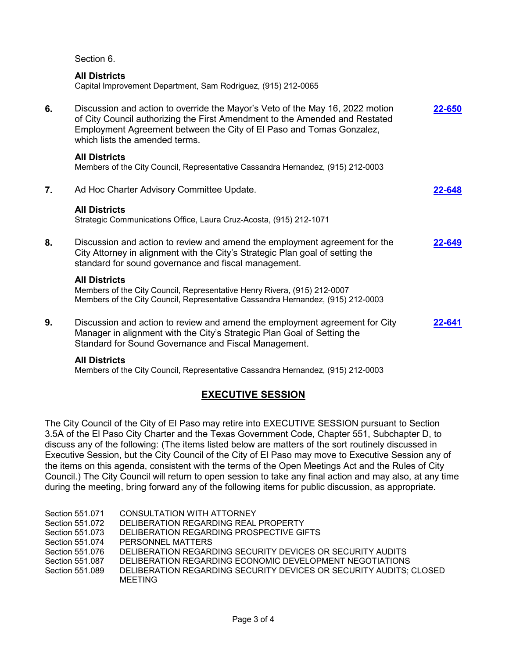Section 6.

#### **All Districts**

Capital Improvement Department, Sam Rodriguez, (915) 212-0065

| 6. | Discussion and action to override the Mayor's Veto of the May 16, 2022 motion<br>of City Council authorizing the First Amendment to the Amended and Restated<br>Employment Agreement between the City of El Paso and Tomas Gonzalez,<br>which lists the amended terms. | 22-650 |
|----|------------------------------------------------------------------------------------------------------------------------------------------------------------------------------------------------------------------------------------------------------------------------|--------|
|    | <b>All Districts</b><br>Members of the City Council, Representative Cassandra Hernandez, (915) 212-0003                                                                                                                                                                |        |
| 7. | Ad Hoc Charter Advisory Committee Update.                                                                                                                                                                                                                              | 22-648 |
|    | <b>All Districts</b><br>Strategic Communications Office, Laura Cruz-Acosta, (915) 212-1071                                                                                                                                                                             |        |
| 8. | Discussion and action to review and amend the employment agreement for the<br>City Attorney in alignment with the City's Strategic Plan goal of setting the<br>standard for sound governance and fiscal management.                                                    | 2-649  |
|    | <b>All Districts</b><br>Members of the City Council, Representative Henry Rivera, (915) 212-0007<br>Members of the City Council, Representative Cassandra Hernandez, (915) 212-0003                                                                                    |        |
| 9. | Discussion and action to review and amend the employment agreement for City<br>Manager in alignment with the City's Strategic Plan Goal of Setting the<br>Standard for Sound Governance and Fiscal Management.                                                         | 22-641 |
|    | <b>All Districts</b>                                                                                                                                                                                                                                                   |        |

Members of the City Council, Representative Cassandra Hernandez, (915) 212-0003

### **EXECUTIVE SESSION**

The City Council of the City of El Paso may retire into EXECUTIVE SESSION pursuant to Section 3.5A of the El Paso City Charter and the Texas Government Code, Chapter 551, Subchapter D, to discuss any of the following: (The items listed below are matters of the sort routinely discussed in Executive Session, but the City Council of the City of El Paso may move to Executive Session any of the items on this agenda, consistent with the terms of the Open Meetings Act and the Rules of City Council.) The City Council will return to open session to take any final action and may also, at any time during the meeting, bring forward any of the following items for public discussion, as appropriate.

| Section 551.071 | CONSULTATION WITH ATTORNEY                                         |
|-----------------|--------------------------------------------------------------------|
| Section 551.072 | DELIBERATION REGARDING REAL PROPERTY                               |
| Section 551.073 | DELIBERATION REGARDING PROSPECTIVE GIFTS                           |
| Section 551.074 | PERSONNEL MATTERS                                                  |
| Section 551.076 | DELIBERATION REGARDING SECURITY DEVICES OR SECURITY AUDITS         |
| Section 551.087 | DELIBERATION REGARDING ECONOMIC DEVELOPMENT NEGOTIATIONS           |
| Section 551.089 | DELIBERATION REGARDING SECURITY DEVICES OR SECURITY AUDITS: CLOSED |
|                 |                                                                    |

MEETING